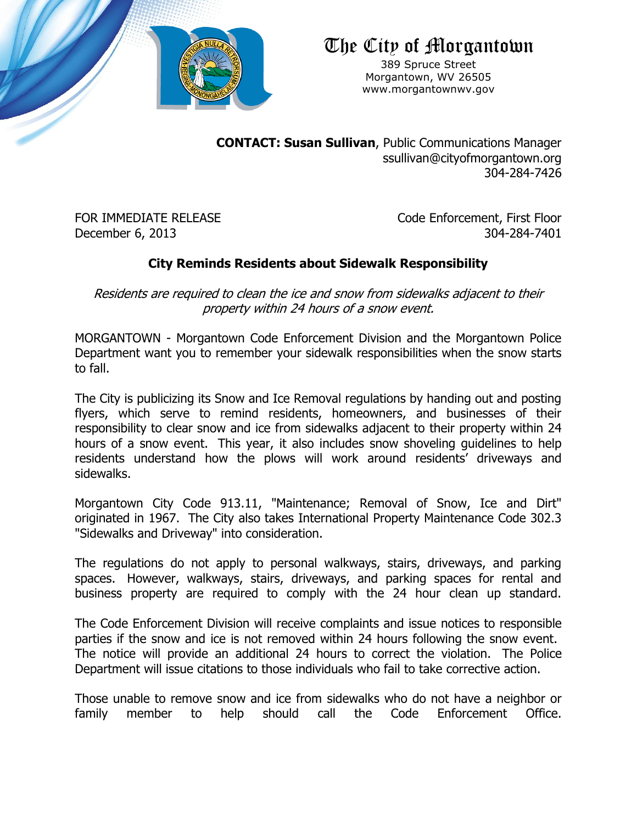

## The City of Morgantown

389 Spruce Street Morgantown, WV 26505 www.morgantownwv.gov

**CONTACT: Susan Sullivan**, Public Communications Manager ssullivan@cityofmorgantown.org 304-284-7426

FOR IMMEDIATE RELEASE Code Enforcement, First Floor December 6, 2013 304-284-7401

### **City Reminds Residents about Sidewalk Responsibility**

Residents are required to clean the ice and snow from sidewalks adjacent to their property within 24 hours of a snow event.

MORGANTOWN - Morgantown Code Enforcement Division and the Morgantown Police Department want you to remember your sidewalk responsibilities when the snow starts to fall.

The City is publicizing its Snow and Ice Removal regulations by handing out and posting flyers, which serve to remind residents, homeowners, and businesses of their responsibility to clear snow and ice from sidewalks adjacent to their property within 24 hours of a snow event. This year, it also includes snow shoveling guidelines to help residents understand how the plows will work around residents' driveways and sidewalks.

Morgantown City Code 913.11, "Maintenance; Removal of Snow, Ice and Dirt" originated in 1967. The City also takes International Property Maintenance Code 302.3 "Sidewalks and Driveway" into consideration.

The regulations do not apply to personal walkways, stairs, driveways, and parking spaces. However, walkways, stairs, driveways, and parking spaces for rental and business property are required to comply with the 24 hour clean up standard.

The Code Enforcement Division will receive complaints and issue notices to responsible parties if the snow and ice is not removed within 24 hours following the snow event. The notice will provide an additional 24 hours to correct the violation. The Police Department will issue citations to those individuals who fail to take corrective action.

Those unable to remove snow and ice from sidewalks who do not have a neighbor or family member to help should call the Code Enforcement Office.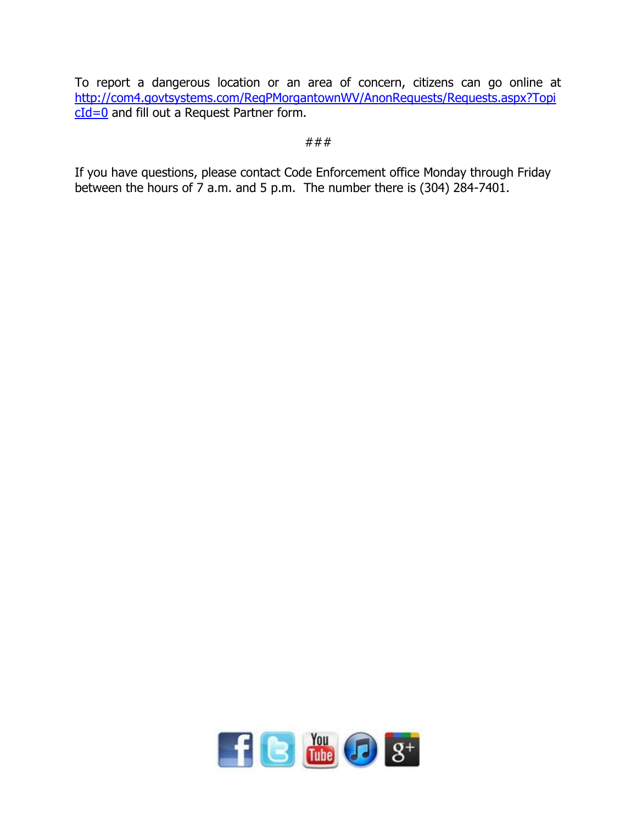To report a dangerous location or an area of concern, citizens can go online at [http://com4.govtsystems.com/ReqPMorgantownWV/AnonRequests/Requests.aspx?Topi](http://com4.govtsystems.com/ReqPMorgantownWV/AnonRequests/Requests.aspx?TopicId=0) [cId=0](http://com4.govtsystems.com/ReqPMorgantownWV/AnonRequests/Requests.aspx?TopicId=0) and fill out a Request Partner form.

#### ###

If you have questions, please contact Code Enforcement office Monday through Friday between the hours of  $\overline{7}$  a.m. and 5 p.m. The number there is (304) 284-7401.

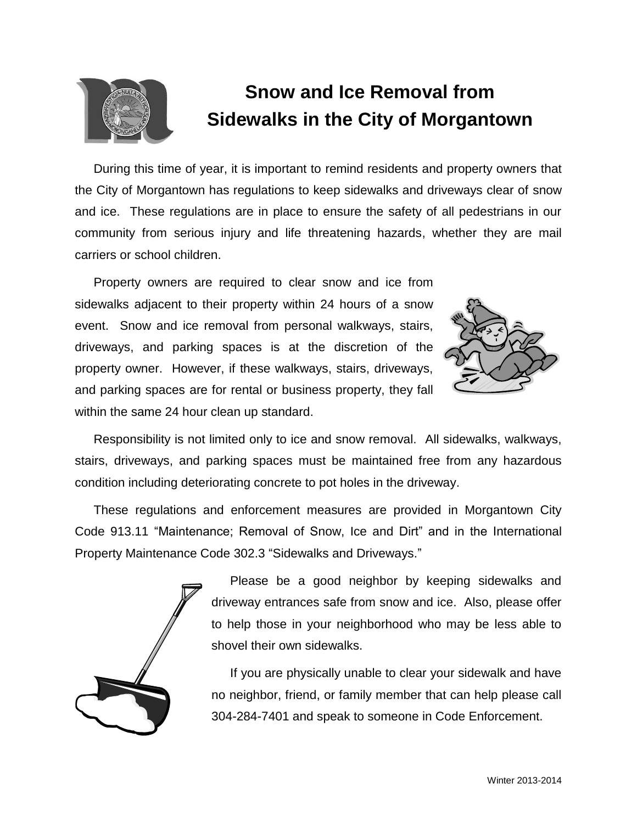

# **Snow and Ice Removal from Sidewalks in the City of Morgantown**

During this time of year, it is important to remind residents and property owners that the City of Morgantown has regulations to keep sidewalks and driveways clear of snow and ice. These regulations are in place to ensure the safety of all pedestrians in our community from serious injury and life threatening hazards, whether they are mail carriers or school children.

Property owners are required to clear snow and ice from sidewalks adjacent to their property within 24 hours of a snow event. Snow and ice removal from personal walkways, stairs, driveways, and parking spaces is at the discretion of the property owner. However, if these walkways, stairs, driveways, and parking spaces are for rental or business property, they fall within the same 24 hour clean up standard.



Responsibility is not limited only to ice and snow removal. All sidewalks, walkways, stairs, driveways, and parking spaces must be maintained free from any hazardous condition including deteriorating concrete to pot holes in the driveway.

These regulations and enforcement measures are provided in Morgantown City Code 913.11 "Maintenance; Removal of Snow, Ice and Dirt" and in the International Property Maintenance Code 302.3 "Sidewalks and Driveways."



Please be a good neighbor by keeping sidewalks and driveway entrances safe from snow and ice. Also, please offer to help those in your neighborhood who may be less able to shovel their own sidewalks.

If you are physically unable to clear your sidewalk and have no neighbor, friend, or family member that can help please call 304-284-7401 and speak to someone in Code Enforcement.